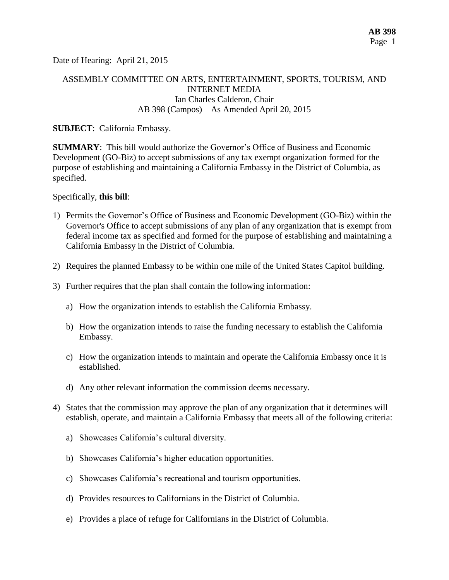Date of Hearing: April 21, 2015

## ASSEMBLY COMMITTEE ON ARTS, ENTERTAINMENT, SPORTS, TOURISM, AND INTERNET MEDIA Ian Charles Calderon, Chair AB 398 (Campos) – As Amended April 20, 2015

#### **SUBJECT**: California Embassy.

**SUMMARY**: This bill would authorize the Governor's Office of Business and Economic Development (GO-Biz) to accept submissions of any tax exempt organization formed for the purpose of establishing and maintaining a California Embassy in the District of Columbia, as specified.

Specifically, **this bill**:

- 1) Permits the Governor's Office of Business and Economic Development (GO-Biz) within the Governor's Office to accept submissions of any [plan](http://lisprdweblb.calegis.net:7010/LISWeb/faces/bills/billdetail.xhtml) of any organization that is exempt from federal income tax as specified and formed for the purpose of establishing and maintaining a California Embassy in the District of Columbia.
- 2) Requires the planned Embassy to be within one mile of the United States Capitol building.
- 3) Further requires that the plan shall contain the following information:
	- a) How the organization intends to establish the California Embassy.
	- b) How the organization intends to raise the funding necessary to establish the California Embassy.
	- c) How the organization intends to maintain and operate the California Embassy once it is established.
	- d) Any other relevant information the commission deems necessary.
- 4) States that the commission may approve the plan of any organization that it determines will establish, operate, and maintain a California Embassy that meets all of the following criteria:
	- a) Showcases California's cultural diversity.
	- b) Showcases California's higher [education opportunities.](http://lisprdweblb.calegis.net:7010/LISWeb/faces/bills/billdetail.xhtml)
	- c) Showcases California's recreational and tourism opportunities.
	- d) Provides resources to Californians in the District of Columbia.
	- e) Provides a place of refuge for Californians in the District of Columbia.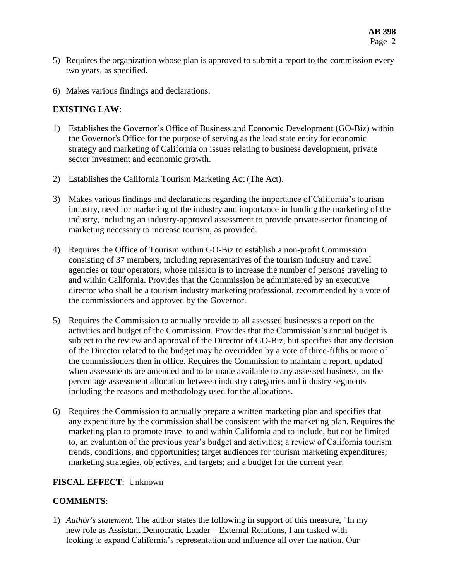- 5) Requires the organization whose plan is approved to submit a report to the commission every two years, as specified.
- 6) Makes various findings and declarations.

## **EXISTING LAW**:

- 1) Establishes the Governor's Office of Business and Economic Development (GO-Biz) within the Governor's Office for the purpose of serving as the lead state entity for economic strategy and marketing of California on issues relating to business development, private sector investment and economic growth.
- 2) Establishes the California Tourism Marketing Act (The Act).
- 3) Makes various findings and declarations regarding the importance of California's tourism industry, need for marketing of the industry and importance in funding the marketing of the industry, including an industry-approved assessment to provide private-sector financing of marketing necessary to increase tourism, as provided.
- 4) Requires the Office of Tourism within GO-Biz to establish a non-profit Commission consisting of 37 members, including representatives of the tourism industry and travel agencies or tour operators, whose mission is to increase the number of persons traveling to and within California. Provides that the Commission be administered by an executive director who shall be a tourism industry marketing professional, recommended by a vote of the commissioners and approved by the Governor.
- 5) Requires the Commission to annually provide to all assessed businesses a report on the activities and budget of the Commission. Provides that the Commission's annual budget is subject to the review and approval of the Director of GO-Biz, but specifies that any decision of the Director related to the budget may be overridden by a vote of three-fifths or more of the commissioners then in office. Requires the Commission to maintain a report, updated when assessments are amended and to be made available to any assessed business, on the percentage assessment allocation between industry categories and industry segments including the reasons and methodology used for the allocations.
- 6) Requires the Commission to annually prepare a written marketing plan and specifies that any expenditure by the commission shall be consistent with the marketing plan. Requires the marketing plan to promote travel to and within California and to include, but not be limited to, an evaluation of the previous year's budget and activities; a review of California tourism trends, conditions, and opportunities; target audiences for tourism marketing expenditures; marketing strategies, objectives, and targets; and a budget for the current year.

# **FISCAL EFFECT**: Unknown

# **COMMENTS**:

1) *Author's statement.* The author states the following in support of this measure, "In my new role as Assistant Democratic Leader – External Relations, I am tasked with looking to expand California's representation and influence all over the nation. Our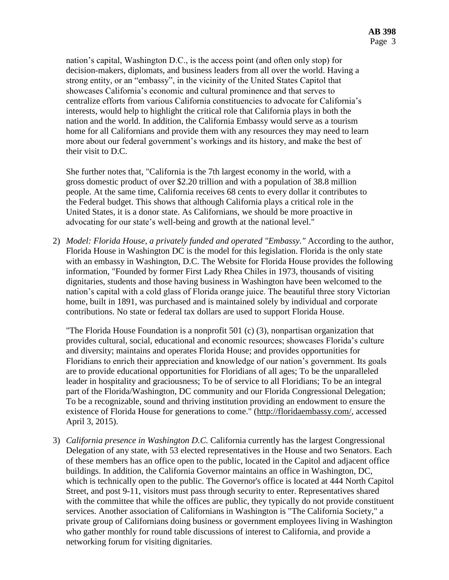nation's capital, Washington D.C., is the access point (and often only stop) for decision-makers, diplomats, and business leaders from all over the world. Having a strong entity, or an "embassy", in the vicinity of the United States Capitol that showcases California's economic and cultural prominence and that serves to centralize efforts from various California constituencies to advocate for California's interests, would help to highlight the critical role that California plays in both the nation and the world. In addition, the California Embassy would serve as a tourism home for all Californians and provide them with any resources they may need to learn more about our federal government's workings and its history, and make the best of their visit to D.C.

She further notes that, "California is the 7th largest economy in the world, with a gross domestic product of over \$2.20 trillion and with a population of 38.8 million people. At the same time, California receives 68 cents to every dollar it contributes to the Federal budget. This shows that although California plays a critical role in the United States, it is a donor state. As Californians, we should be more proactive in advocating for our state's well-being and growth at the national level."

2) *Model: Florida House, a privately funded and operated "Embassy."* According to the author, Florida House in Washington DC is the model for this legislation. Florida is the only state with an embassy in Washington, D.C. The Website for Florida House provides the following information, "Founded by former First Lady Rhea Chiles in 1973, thousands of visiting dignitaries, students and those having business in Washington have been welcomed to the nation's capital with a cold glass of Florida orange juice. The beautiful three story Victorian home, built in 1891, was purchased and is maintained solely by individual and corporate contributions. No state or federal tax dollars are used to support Florida House.

"The Florida House Foundation is a nonprofit 501 (c) (3), nonpartisan organization that provides cultural, social, educational and economic resources; showcases Florida's culture and diversity; maintains and operates Florida House; and provides opportunities for Floridians to enrich their appreciation and knowledge of our nation's government. Its goals are to provide educational opportunities for Floridians of all ages; To be the unparalleled leader in hospitality and graciousness; To be of service to all Floridians; To be an integral part of the Florida/Washington, DC community and our Florida Congressional Delegation; To be a recognizable, sound and thriving institution providing an endowment to ensure the existence of Florida House for generations to come." [\(http://floridaembassy.com/,](http://floridaembassy.com/) accessed April 3, 2015).

3) *California presence in Washington D.C.* California currently has the largest Congressional Delegation of any state, with 53 elected representatives in the House and two Senators. Each of these members has an office open to the public, located in the Capitol and adjacent office buildings. In addition, the California Governor maintains an office in Washington, DC, which is technically open to the public. The Governor's office is located at 444 North Capitol Street, and post 9-11, visitors must pass through security to enter. Representatives shared with the committee that while the offices are public, they typically do not provide constituent services. Another association of Californians in Washington is "The California Society," a private group of Californians doing business or government employees living in Washington who gather monthly for round table discussions of interest to California, and provide a networking forum for visiting dignitaries.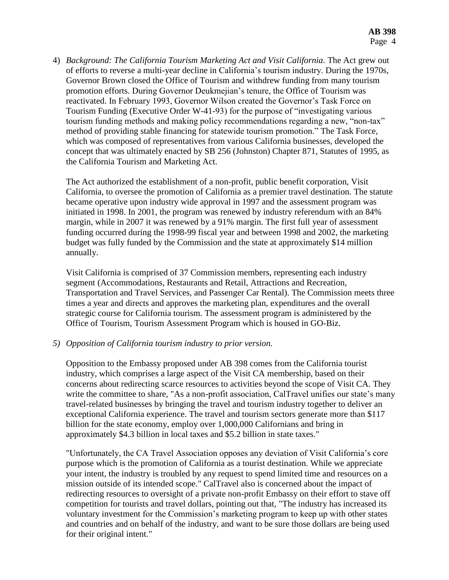4) *Background: The California Tourism Marketing Act and Visit California.* The Act grew out of efforts to reverse a multi-year decline in California's tourism industry. During the 1970s, Governor Brown closed the Office of Tourism and withdrew funding from many tourism promotion efforts. During Governor Deukmejian's tenure, the Office of Tourism was reactivated. In February 1993, Governor Wilson created the Governor's Task Force on Tourism Funding (Executive Order W-41-93) for the purpose of "investigating various tourism funding methods and making policy recommendations regarding a new, "non-tax" method of providing stable financing for statewide tourism promotion." The Task Force, which was composed of representatives from various California businesses, developed the concept that was ultimately enacted by SB 256 (Johnston) Chapter 871, Statutes of 1995, as the California Tourism and Marketing Act.

The Act authorized the establishment of a non-profit, public benefit corporation, Visit California, to oversee the promotion of California as a premier travel destination. The statute became operative upon industry wide approval in 1997 and the assessment program was initiated in 1998. In 2001, the program was renewed by industry referendum with an 84% margin, while in 2007 it was renewed by a 91% margin. The first full year of assessment funding occurred during the 1998-99 fiscal year and between 1998 and 2002, the marketing budget was fully funded by the Commission and the state at approximately \$14 million annually.

Visit California is comprised of 37 Commission members, representing each industry segment (Accommodations, Restaurants and Retail, Attractions and Recreation, Transportation and Travel Services, and Passenger Car Rental). The Commission meets three times a year and directs and approves the marketing plan, expenditures and the overall strategic course for California tourism. The assessment program is administered by the Office of Tourism, Tourism Assessment Program which is housed in GO-Biz.

### *5) Opposition of California tourism industry to prior version.*

Opposition to the Embassy proposed under AB 398 comes from the California tourist industry, which comprises a large aspect of the Visit CA membership, based on their concerns about redirecting scarce resources to activities beyond the scope of Visit CA. They write the committee to share, "As a non-profit association, CalTravel unifies our state's many travel-related businesses by bringing the travel and tourism industry together to deliver an exceptional California experience. The travel and tourism sectors generate more than \$117 billion for the state economy, employ over 1,000,000 Californians and bring in approximately \$4.3 billion in local taxes and \$5.2 billion in state taxes."

"Unfortunately, the CA Travel Association opposes any deviation of Visit California's core purpose which is the promotion of California as a tourist destination. While we appreciate your intent, the industry is troubled by any request to spend limited time and resources on a mission outside of its intended scope." CalTravel also is concerned about the impact of redirecting resources to oversight of a private non-profit Embassy on their effort to stave off competition for tourists and travel dollars, pointing out that, "The industry has increased its voluntary investment for the Commission's marketing program to keep up with other states and countries and on behalf of the industry, and want to be sure those dollars are being used for their original intent."